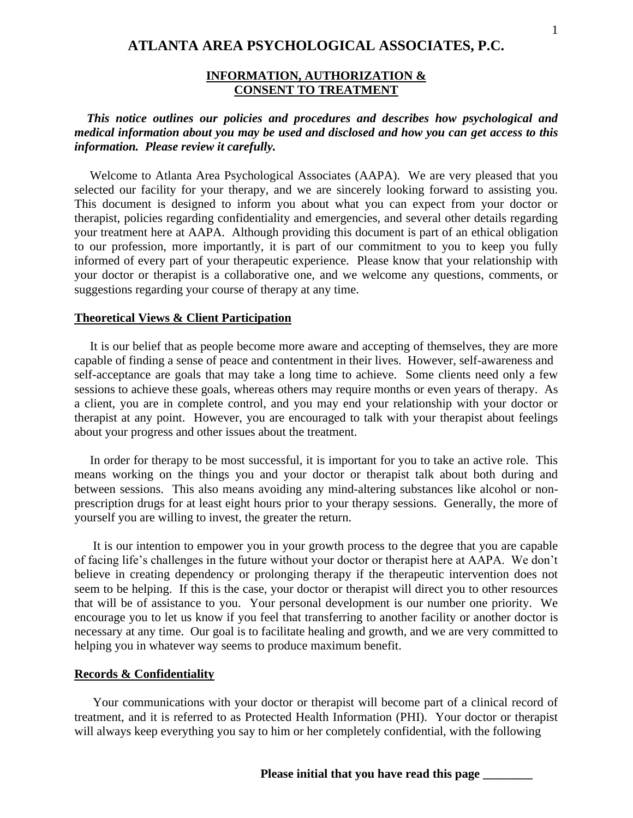# **ATLANTA AREA PSYCHOLOGICAL ASSOCIATES, P.C.**

# **INFORMATION, AUTHORIZATION & CONSENT TO TREATMENT**

 *This notice outlines our policies and procedures and describes how psychological and medical information about you may be used and disclosed and how you can get access to this information. Please review it carefully.*

 Welcome to Atlanta Area Psychological Associates (AAPA). We are very pleased that you selected our facility for your therapy, and we are sincerely looking forward to assisting you. This document is designed to inform you about what you can expect from your doctor or therapist, policies regarding confidentiality and emergencies, and several other details regarding your treatment here at AAPA. Although providing this document is part of an ethical obligation to our profession, more importantly, it is part of our commitment to you to keep you fully informed of every part of your therapeutic experience. Please know that your relationship with your doctor or therapist is a collaborative one, and we welcome any questions, comments, or suggestions regarding your course of therapy at any time.

### **Theoretical Views & Client Participation**

 It is our belief that as people become more aware and accepting of themselves, they are more capable of finding a sense of peace and contentment in their lives. However, self-awareness and self-acceptance are goals that may take a long time to achieve. Some clients need only a few sessions to achieve these goals, whereas others may require months or even years of therapy. As a client, you are in complete control, and you may end your relationship with your doctor or therapist at any point. However, you are encouraged to talk with your therapist about feelings about your progress and other issues about the treatment.

 In order for therapy to be most successful, it is important for you to take an active role. This means working on the things you and your doctor or therapist talk about both during and between sessions. This also means avoiding any mind-altering substances like alcohol or nonprescription drugs for at least eight hours prior to your therapy sessions. Generally, the more of yourself you are willing to invest, the greater the return.

 It is our intention to empower you in your growth process to the degree that you are capable of facing life's challenges in the future without your doctor or therapist here at AAPA. We don't believe in creating dependency or prolonging therapy if the therapeutic intervention does not seem to be helping. If this is the case, your doctor or therapist will direct you to other resources that will be of assistance to you. Your personal development is our number one priority. We encourage you to let us know if you feel that transferring to another facility or another doctor is necessary at any time. Our goal is to facilitate healing and growth, and we are very committed to helping you in whatever way seems to produce maximum benefit.

#### **Records & Confidentiality**

 Your communications with your doctor or therapist will become part of a clinical record of treatment, and it is referred to as Protected Health Information (PHI). Your doctor or therapist will always keep everything you say to him or her completely confidential, with the following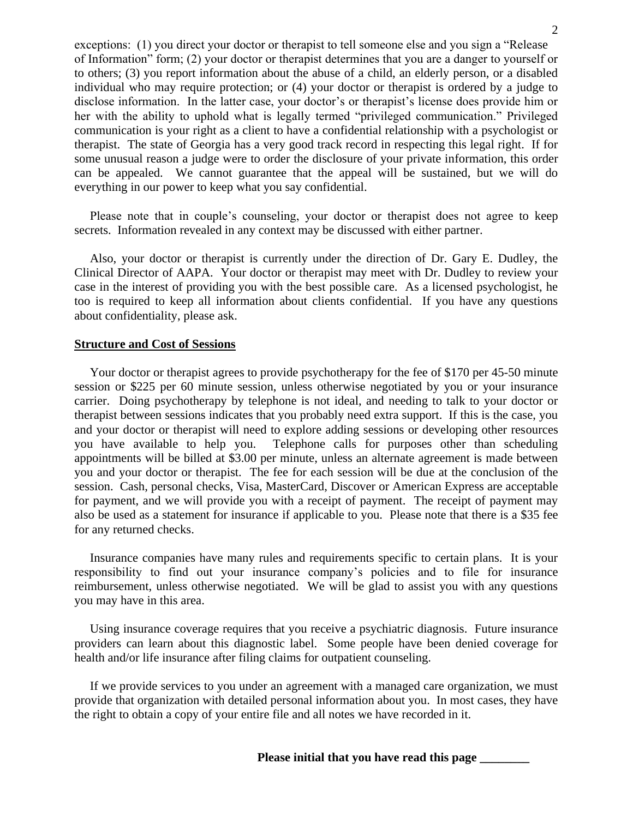exceptions: (1) you direct your doctor or therapist to tell someone else and you sign a "Release of Information" form; (2) your doctor or therapist determines that you are a danger to yourself or to others; (3) you report information about the abuse of a child, an elderly person, or a disabled individual who may require protection; or (4) your doctor or therapist is ordered by a judge to disclose information. In the latter case, your doctor's or therapist's license does provide him or her with the ability to uphold what is legally termed "privileged communication." Privileged communication is your right as a client to have a confidential relationship with a psychologist or therapist. The state of Georgia has a very good track record in respecting this legal right. If for some unusual reason a judge were to order the disclosure of your private information, this order can be appealed. We cannot guarantee that the appeal will be sustained, but we will do everything in our power to keep what you say confidential.

 Please note that in couple's counseling, your doctor or therapist does not agree to keep secrets. Information revealed in any context may be discussed with either partner.

 Also, your doctor or therapist is currently under the direction of Dr. Gary E. Dudley, the Clinical Director of AAPA. Your doctor or therapist may meet with Dr. Dudley to review your case in the interest of providing you with the best possible care. As a licensed psychologist, he too is required to keep all information about clients confidential. If you have any questions about confidentiality, please ask.

#### **Structure and Cost of Sessions**

 Your doctor or therapist agrees to provide psychotherapy for the fee of \$170 per 45-50 minute session or \$225 per 60 minute session, unless otherwise negotiated by you or your insurance carrier. Doing psychotherapy by telephone is not ideal, and needing to talk to your doctor or therapist between sessions indicates that you probably need extra support. If this is the case, you and your doctor or therapist will need to explore adding sessions or developing other resources you have available to help you. Telephone calls for purposes other than scheduling appointments will be billed at \$3.00 per minute, unless an alternate agreement is made between you and your doctor or therapist. The fee for each session will be due at the conclusion of the session. Cash, personal checks, Visa, MasterCard, Discover or American Express are acceptable for payment, and we will provide you with a receipt of payment. The receipt of payment may also be used as a statement for insurance if applicable to you. Please note that there is a \$35 fee for any returned checks.

 Insurance companies have many rules and requirements specific to certain plans. It is your responsibility to find out your insurance company's policies and to file for insurance reimbursement, unless otherwise negotiated. We will be glad to assist you with any questions you may have in this area.

 Using insurance coverage requires that you receive a psychiatric diagnosis. Future insurance providers can learn about this diagnostic label. Some people have been denied coverage for health and/or life insurance after filing claims for outpatient counseling.

 If we provide services to you under an agreement with a managed care organization, we must provide that organization with detailed personal information about you. In most cases, they have the right to obtain a copy of your entire file and all notes we have recorded in it.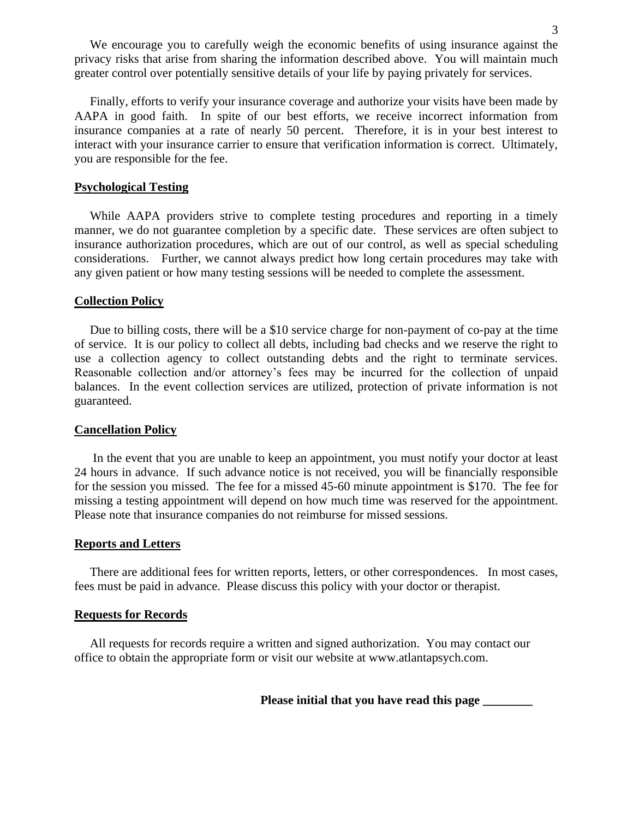We encourage you to carefully weigh the economic benefits of using insurance against the privacy risks that arise from sharing the information described above. You will maintain much greater control over potentially sensitive details of your life by paying privately for services.

 Finally, efforts to verify your insurance coverage and authorize your visits have been made by AAPA in good faith. In spite of our best efforts, we receive incorrect information from insurance companies at a rate of nearly 50 percent. Therefore, it is in your best interest to interact with your insurance carrier to ensure that verification information is correct. Ultimately, you are responsible for the fee.

### **Psychological Testing**

 While AAPA providers strive to complete testing procedures and reporting in a timely manner, we do not guarantee completion by a specific date. These services are often subject to insurance authorization procedures, which are out of our control, as well as special scheduling considerations. Further, we cannot always predict how long certain procedures may take with any given patient or how many testing sessions will be needed to complete the assessment.

### **Collection Policy**

 Due to billing costs, there will be a \$10 service charge for non-payment of co-pay at the time of service. It is our policy to collect all debts, including bad checks and we reserve the right to use a collection agency to collect outstanding debts and the right to terminate services. Reasonable collection and/or attorney's fees may be incurred for the collection of unpaid balances. In the event collection services are utilized, protection of private information is not guaranteed.

#### **Cancellation Policy**

 In the event that you are unable to keep an appointment, you must notify your doctor at least 24 hours in advance. If such advance notice is not received, you will be financially responsible for the session you missed. The fee for a missed 45-60 minute appointment is \$170. The fee for missing a testing appointment will depend on how much time was reserved for the appointment. Please note that insurance companies do not reimburse for missed sessions.

#### **Reports and Letters**

 There are additional fees for written reports, letters, or other correspondences. In most cases, fees must be paid in advance. Please discuss this policy with your doctor or therapist.

### **Requests for Records**

 All requests for records require a written and signed authorization. You may contact our office to obtain the appropriate form or visit our website at www.atlantapsych.com.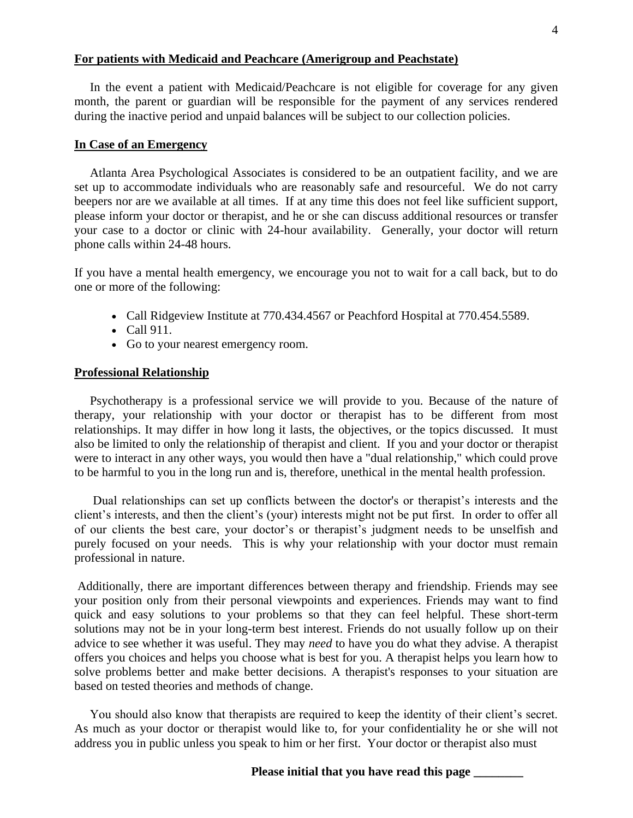### **For patients with Medicaid and Peachcare (Amerigroup and Peachstate)**

 In the event a patient with Medicaid/Peachcare is not eligible for coverage for any given month, the parent or guardian will be responsible for the payment of any services rendered during the inactive period and unpaid balances will be subject to our collection policies.

#### **In Case of an Emergency**

 Atlanta Area Psychological Associates is considered to be an outpatient facility, and we are set up to accommodate individuals who are reasonably safe and resourceful. We do not carry beepers nor are we available at all times. If at any time this does not feel like sufficient support, please inform your doctor or therapist, and he or she can discuss additional resources or transfer your case to a doctor or clinic with 24-hour availability. Generally, your doctor will return phone calls within 24-48 hours.

If you have a mental health emergency, we encourage you not to wait for a call back, but to do one or more of the following:

- Call Ridgeview Institute at 770.434.4567 or Peachford Hospital at 770.454.5589.
- Call 911.
- Go to your nearest emergency room.

#### **Professional Relationship**

 Psychotherapy is a professional service we will provide to you. Because of the nature of therapy, your relationship with your doctor or therapist has to be different from most relationships. It may differ in how long it lasts, the objectives, or the topics discussed. It must also be limited to only the relationship of therapist and client. If you and your doctor or therapist were to interact in any other ways, you would then have a "dual relationship," which could prove to be harmful to you in the long run and is, therefore, unethical in the mental health profession.

 Dual relationships can set up conflicts between the doctor's or therapist's interests and the client's interests, and then the client's (your) interests might not be put first. In order to offer all of our clients the best care, your doctor's or therapist's judgment needs to be unselfish and purely focused on your needs. This is why your relationship with your doctor must remain professional in nature.

Additionally, there are important differences between therapy and friendship. Friends may see your position only from their personal viewpoints and experiences. Friends may want to find quick and easy solutions to your problems so that they can feel helpful. These short-term solutions may not be in your long-term best interest. Friends do not usually follow up on their advice to see whether it was useful. They may *need* to have you do what they advise. A therapist offers you choices and helps you choose what is best for you. A therapist helps you learn how to solve problems better and make better decisions. A therapist's responses to your situation are based on tested theories and methods of change.

 You should also know that therapists are required to keep the identity of their client's secret. As much as your doctor or therapist would like to, for your confidentiality he or she will not address you in public unless you speak to him or her first. Your doctor or therapist also must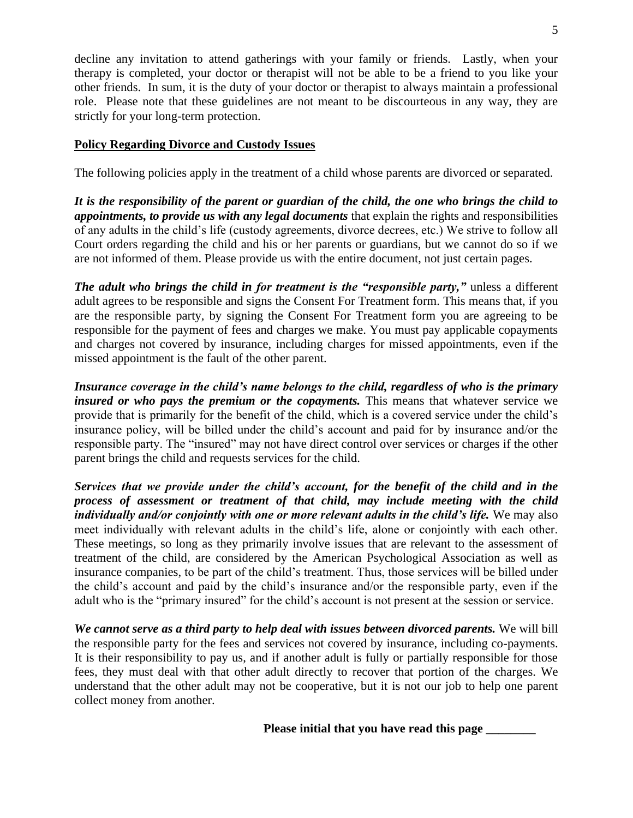decline any invitation to attend gatherings with your family or friends. Lastly, when your therapy is completed, your doctor or therapist will not be able to be a friend to you like your other friends. In sum, it is the duty of your doctor or therapist to always maintain a professional role. Please note that these guidelines are not meant to be discourteous in any way, they are strictly for your long-term protection.

# **Policy Regarding Divorce and Custody Issues**

The following policies apply in the treatment of a child whose parents are divorced or separated.

*It is the responsibility of the parent or guardian of the child, the one who brings the child to appointments, to provide us with any legal documents* that explain the rights and responsibilities of any adults in the child's life (custody agreements, divorce decrees, etc.) We strive to follow all Court orders regarding the child and his or her parents or guardians, but we cannot do so if we are not informed of them. Please provide us with the entire document, not just certain pages.

*The adult who brings the child in for treatment is the "responsible party,"* unless a different adult agrees to be responsible and signs the Consent For Treatment form. This means that, if you are the responsible party, by signing the Consent For Treatment form you are agreeing to be responsible for the payment of fees and charges we make. You must pay applicable copayments and charges not covered by insurance, including charges for missed appointments, even if the missed appointment is the fault of the other parent.

*Insurance coverage in the child's name belongs to the child, regardless of who is the primary insured or who pays the premium or the copayments.* This means that whatever service we provide that is primarily for the benefit of the child, which is a covered service under the child's insurance policy, will be billed under the child's account and paid for by insurance and/or the responsible party. The "insured" may not have direct control over services or charges if the other parent brings the child and requests services for the child.

*Services that we provide under the child's account, for the benefit of the child and in the process of assessment or treatment of that child, may include meeting with the child individually and/or conjointly with one or more relevant adults in the child's life.* We may also meet individually with relevant adults in the child's life, alone or conjointly with each other. These meetings, so long as they primarily involve issues that are relevant to the assessment of treatment of the child, are considered by the American Psychological Association as well as insurance companies, to be part of the child's treatment. Thus, those services will be billed under the child's account and paid by the child's insurance and/or the responsible party, even if the adult who is the "primary insured" for the child's account is not present at the session or service.

*We cannot serve as a third party to help deal with issues between divorced parents.* We will bill the responsible party for the fees and services not covered by insurance, including co-payments. It is their responsibility to pay us, and if another adult is fully or partially responsible for those fees, they must deal with that other adult directly to recover that portion of the charges. We understand that the other adult may not be cooperative, but it is not our job to help one parent collect money from another.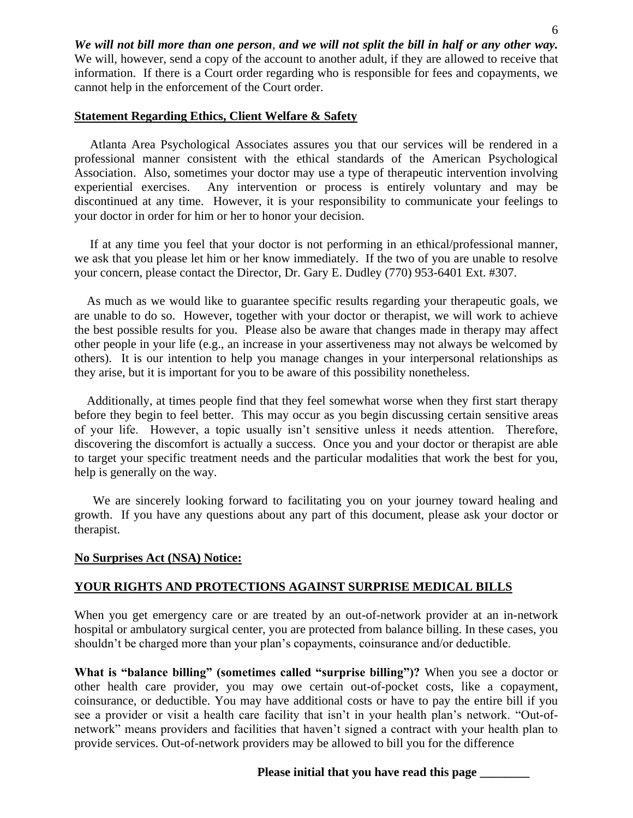*We will not bill more than one person*, *and we will not split the bill in half or any other way.* We will, however, send a copy of the account to another adult, if they are allowed to receive that information. If there is a Court order regarding who is responsible for fees and copayments, we cannot help in the enforcement of the Court order.

### **Statement Regarding Ethics, Client Welfare & Safety**

 Atlanta Area Psychological Associates assures you that our services will be rendered in a professional manner consistent with the ethical standards of the American Psychological Association. Also, sometimes your doctor may use a type of therapeutic intervention involving experiential exercises. Any intervention or process is entirely voluntary and may be discontinued at any time. However, it is your responsibility to communicate your feelings to your doctor in order for him or her to honor your decision.

 If at any time you feel that your doctor is not performing in an ethical/professional manner, we ask that you please let him or her know immediately. If the two of you are unable to resolve your concern, please contact the Director, Dr. Gary E. Dudley (770) 953-6401 Ext. #307.

 As much as we would like to guarantee specific results regarding your therapeutic goals, we are unable to do so. However, together with your doctor or therapist, we will work to achieve the best possible results for you. Please also be aware that changes made in therapy may affect other people in your life (e.g., an increase in your assertiveness may not always be welcomed by others). It is our intention to help you manage changes in your interpersonal relationships as they arise, but it is important for you to be aware of this possibility nonetheless.

 Additionally, at times people find that they feel somewhat worse when they first start therapy before they begin to feel better. This may occur as you begin discussing certain sensitive areas of your life. However, a topic usually isn't sensitive unless it needs attention. Therefore, discovering the discomfort is actually a success. Once you and your doctor or therapist are able to target your specific treatment needs and the particular modalities that work the best for you, help is generally on the way.

We are sincerely looking forward to facilitating you on your journey toward healing and growth. If you have any questions about any part of this document, please ask your doctor or therapist.

### **No Surprises Act (NSA) Notice:**

### **YOUR RIGHTS AND PROTECTIONS AGAINST SURPRISE MEDICAL BILLS**

When you get emergency care or are treated by an out-of-network provider at an in-network hospital or ambulatory surgical center, you are protected from balance billing. In these cases, you shouldn't be charged more than your plan's copayments, coinsurance and/or deductible.

**What is "balance billing" (sometimes called "surprise billing")?** When you see a doctor or other health care provider, you may owe certain out-of-pocket costs, like a copayment, coinsurance, or deductible. You may have additional costs or have to pay the entire bill if you see a provider or visit a health care facility that isn't in your health plan's network. "Out-ofnetwork" means providers and facilities that haven't signed a contract with your health plan to provide services. Out-of-network providers may be allowed to bill you for the difference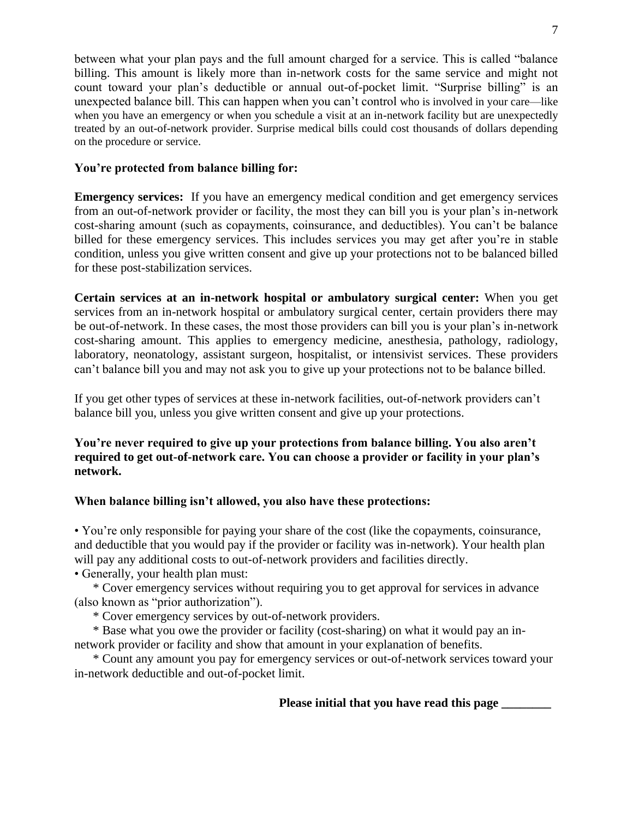between what your plan pays and the full amount charged for a service. This is called "balance billing. This amount is likely more than in-network costs for the same service and might not count toward your plan's deductible or annual out-of-pocket limit. "Surprise billing" is an unexpected balance bill. This can happen when you can't control who is involved in your care—like when you have an emergency or when you schedule a visit at an in-network facility but are unexpectedly treated by an out-of-network provider. Surprise medical bills could cost thousands of dollars depending on the procedure or service.

# **You're protected from balance billing for:**

**Emergency services:** If you have an emergency medical condition and get emergency services from an out-of-network provider or facility, the most they can bill you is your plan's in-network cost-sharing amount (such as copayments, coinsurance, and deductibles). You can't be balance billed for these emergency services. This includes services you may get after you're in stable condition, unless you give written consent and give up your protections not to be balanced billed for these post-stabilization services.

**Certain services at an in-network hospital or ambulatory surgical center:** When you get services from an in-network hospital or ambulatory surgical center, certain providers there may be out-of-network. In these cases, the most those providers can bill you is your plan's in-network cost-sharing amount. This applies to emergency medicine, anesthesia, pathology, radiology, laboratory, neonatology, assistant surgeon, hospitalist, or intensivist services. These providers can't balance bill you and may not ask you to give up your protections not to be balance billed.

If you get other types of services at these in-network facilities, out-of-network providers can't balance bill you, unless you give written consent and give up your protections.

**You're never required to give up your protections from balance billing. You also aren't required to get out-of-network care. You can choose a provider or facility in your plan's network.**

### **When balance billing isn't allowed, you also have these protections:**

• You're only responsible for paying your share of the cost (like the copayments, coinsurance, and deductible that you would pay if the provider or facility was in-network). Your health plan will pay any additional costs to out-of-network providers and facilities directly.

• Generally, your health plan must:

\* Cover emergency services without requiring you to get approval for services in advance (also known as "prior authorization").

\* Cover emergency services by out-of-network providers.

\* Base what you owe the provider or facility (cost-sharing) on what it would pay an innetwork provider or facility and show that amount in your explanation of benefits.

\* Count any amount you pay for emergency services or out-of-network services toward your in-network deductible and out-of-pocket limit.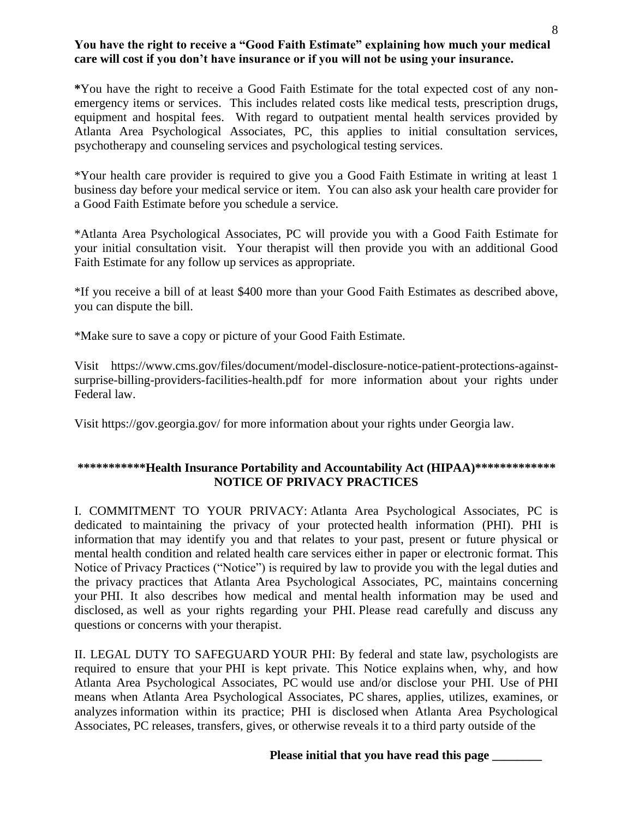# **You have the right to receive a "Good Faith Estimate" explaining how much your medical care will cost if you don't have insurance or if you will not be using your insurance.**

**\***You have the right to receive a Good Faith Estimate for the total expected cost of any nonemergency items or services. This includes related costs like medical tests, prescription drugs, equipment and hospital fees. With regard to outpatient mental health services provided by Atlanta Area Psychological Associates, PC, this applies to initial consultation services, psychotherapy and counseling services and psychological testing services.

\*Your health care provider is required to give you a Good Faith Estimate in writing at least 1 business day before your medical service or item. You can also ask your health care provider for a Good Faith Estimate before you schedule a service.

\*Atlanta Area Psychological Associates, PC will provide you with a Good Faith Estimate for your initial consultation visit. Your therapist will then provide you with an additional Good Faith Estimate for any follow up services as appropriate.

\*If you receive a bill of at least \$400 more than your Good Faith Estimates as described above, you can dispute the bill.

\*Make sure to save a copy or picture of your Good Faith Estimate.

Visit https://www.cms.gov/files/document/model-disclosure-notice-patient-protections-againstsurprise-billing-providers-facilities-health.pdf for more information about your rights under Federal law.

Visit https://gov.georgia.gov/ for more information about your rights under Georgia law.

# **\*\*\*\*\*\*\*\*\*\*\*Health Insurance Portability and Accountability Act (HIPAA)\*\*\*\*\*\*\*\*\*\*\*\*\* NOTICE OF PRIVACY PRACTICES**

I. COMMITMENT TO YOUR PRIVACY: Atlanta Area Psychological Associates, PC is dedicated to maintaining the privacy of your protected health information (PHI). PHI is information that may identify you and that relates to your past, present or future physical or mental health condition and related health care services either in paper or electronic format. This Notice of Privacy Practices ("Notice") is required by law to provide you with the legal duties and the privacy practices that Atlanta Area Psychological Associates, PC, maintains concerning your PHI. It also describes how medical and mental health information may be used and disclosed, as well as your rights regarding your PHI. Please read carefully and discuss any questions or concerns with your therapist.

II. LEGAL DUTY TO SAFEGUARD YOUR PHI: By federal and state law, psychologists are required to ensure that your PHI is kept private. This Notice explains when, why, and how Atlanta Area Psychological Associates, PC would use and/or disclose your PHI. Use of PHI means when Atlanta Area Psychological Associates, PC shares, applies, utilizes, examines, or analyzes information within its practice; PHI is disclosed when Atlanta Area Psychological Associates, PC releases, transfers, gives, or otherwise reveals it to a third party outside of the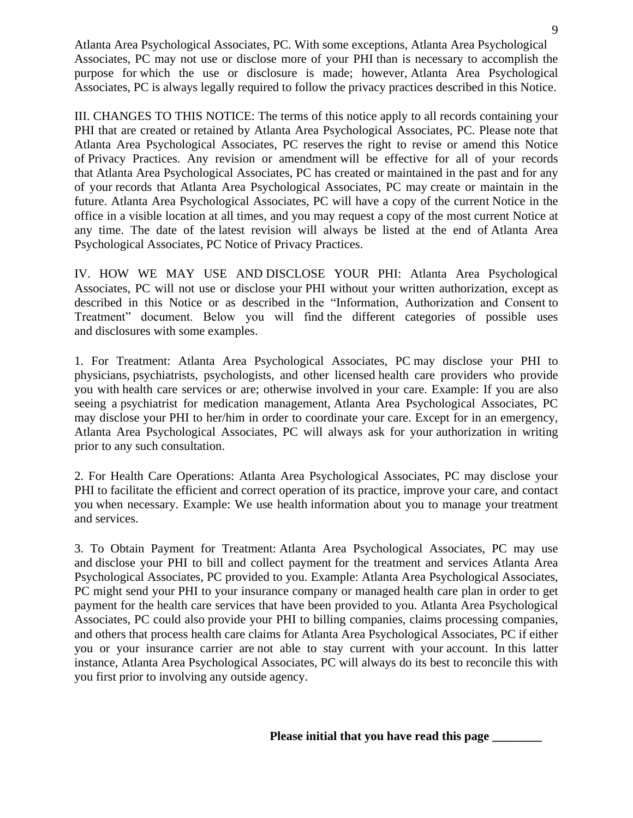Atlanta Area Psychological Associates, PC. With some exceptions, Atlanta Area Psychological Associates, PC may not use or disclose more of your PHI than is necessary to accomplish the purpose for which the use or disclosure is made; however, Atlanta Area Psychological Associates, PC is always legally required to follow the privacy practices described in this Notice.

III. CHANGES TO THIS NOTICE: The terms of this notice apply to all records containing your PHI that are created or retained by Atlanta Area Psychological Associates, PC. Please note that Atlanta Area Psychological Associates, PC reserves the right to revise or amend this Notice of Privacy Practices. Any revision or amendment will be effective for all of your records that Atlanta Area Psychological Associates, PC has created or maintained in the past and for any of your records that Atlanta Area Psychological Associates, PC may create or maintain in the future. Atlanta Area Psychological Associates, PC will have a copy of the current Notice in the office in a visible location at all times, and you may request a copy of the most current Notice at any time. The date of the latest revision will always be listed at the end of Atlanta Area Psychological Associates, PC Notice of Privacy Practices.

IV. HOW WE MAY USE AND DISCLOSE YOUR PHI: Atlanta Area Psychological Associates, PC will not use or disclose your PHI without your written authorization, except as described in this Notice or as described in the "Information, Authorization and Consent to Treatment" document. Below you will find the different categories of possible uses and disclosures with some examples.

1. For Treatment: Atlanta Area Psychological Associates, PC may disclose your PHI to physicians, psychiatrists, psychologists, and other licensed health care providers who provide you with health care services or are; otherwise involved in your care. Example: If you are also seeing a psychiatrist for medication management, Atlanta Area Psychological Associates, PC may disclose your PHI to her/him in order to coordinate your care. Except for in an emergency, Atlanta Area Psychological Associates, PC will always ask for your authorization in writing prior to any such consultation.

2. For Health Care Operations: Atlanta Area Psychological Associates, PC may disclose your PHI to facilitate the efficient and correct operation of its practice, improve your care, and contact you when necessary. Example: We use health information about you to manage your treatment and services.

3. To Obtain Payment for Treatment: Atlanta Area Psychological Associates, PC may use and disclose your PHI to bill and collect payment for the treatment and services Atlanta Area Psychological Associates, PC provided to you. Example: Atlanta Area Psychological Associates, PC might send your PHI to your insurance company or managed health care plan in order to get payment for the health care services that have been provided to you. Atlanta Area Psychological Associates, PC could also provide your PHI to billing companies, claims processing companies, and others that process health care claims for Atlanta Area Psychological Associates, PC if either you or your insurance carrier are not able to stay current with your account. In this latter instance, Atlanta Area Psychological Associates, PC will always do its best to reconcile this with you first prior to involving any outside agency.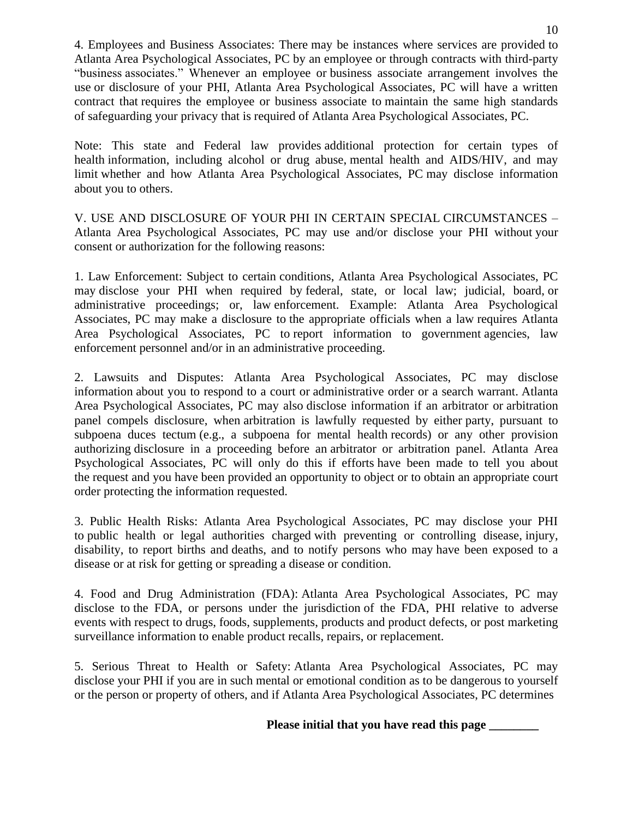4. Employees and Business Associates: There may be instances where services are provided to Atlanta Area Psychological Associates, PC by an employee or through contracts with third-party "business associates." Whenever an employee or business associate arrangement involves the use or disclosure of your PHI, Atlanta Area Psychological Associates, PC will have a written contract that requires the employee or business associate to maintain the same high standards of safeguarding your privacy that is required of Atlanta Area Psychological Associates, PC.

Note: This state and Federal law provides additional protection for certain types of health information, including alcohol or drug abuse, mental health and AIDS/HIV, and may limit whether and how Atlanta Area Psychological Associates, PC may disclose information about you to others.

V. USE AND DISCLOSURE OF YOUR PHI IN CERTAIN SPECIAL CIRCUMSTANCES – Atlanta Area Psychological Associates, PC may use and/or disclose your PHI without your consent or authorization for the following reasons:

1. Law Enforcement: Subject to certain conditions, Atlanta Area Psychological Associates, PC may disclose your PHI when required by federal, state, or local law; judicial, board, or administrative proceedings; or, law enforcement. Example: Atlanta Area Psychological Associates, PC may make a disclosure to the appropriate officials when a law requires Atlanta Area Psychological Associates, PC to report information to government agencies, law enforcement personnel and/or in an administrative proceeding.

2. Lawsuits and Disputes: Atlanta Area Psychological Associates, PC may disclose information about you to respond to a court or administrative order or a search warrant. Atlanta Area Psychological Associates, PC may also disclose information if an arbitrator or arbitration panel compels disclosure, when arbitration is lawfully requested by either party, pursuant to subpoena duces tectum (e.g., a subpoena for mental health records) or any other provision authorizing disclosure in a proceeding before an arbitrator or arbitration panel. Atlanta Area Psychological Associates, PC will only do this if efforts have been made to tell you about the request and you have been provided an opportunity to object or to obtain an appropriate court order protecting the information requested.

3. Public Health Risks: Atlanta Area Psychological Associates, PC may disclose your PHI to public health or legal authorities charged with preventing or controlling disease, injury, disability, to report births and deaths, and to notify persons who may have been exposed to a disease or at risk for getting or spreading a disease or condition.

4. Food and Drug Administration (FDA): Atlanta Area Psychological Associates, PC may disclose to the FDA, or persons under the jurisdiction of the FDA, PHI relative to adverse events with respect to drugs, foods, supplements, products and product defects, or post marketing surveillance information to enable product recalls, repairs, or replacement.

5. Serious Threat to Health or Safety: Atlanta Area Psychological Associates, PC may disclose your PHI if you are in such mental or emotional condition as to be dangerous to yourself or the person or property of others, and if Atlanta Area Psychological Associates, PC determines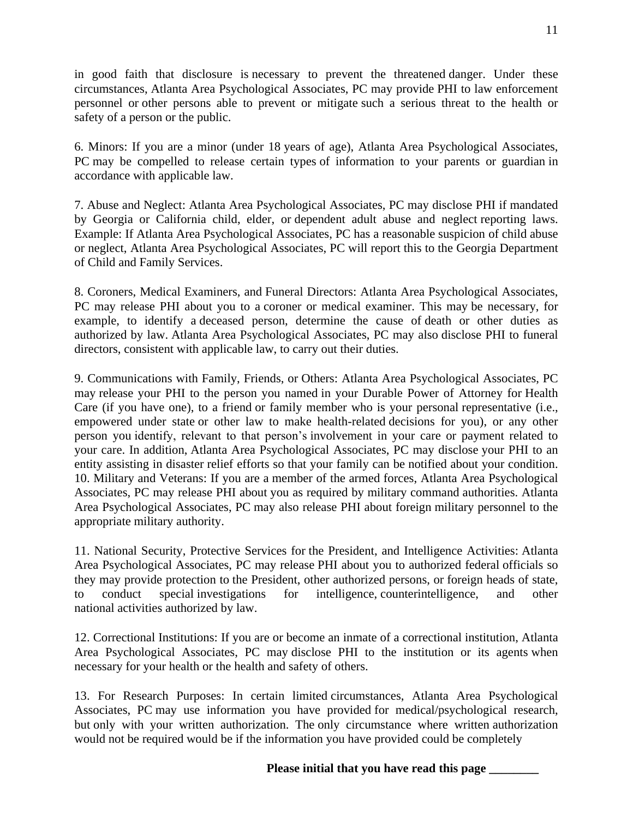in good faith that disclosure is necessary to prevent the threatened danger. Under these circumstances, Atlanta Area Psychological Associates, PC may provide PHI to law enforcement personnel or other persons able to prevent or mitigate such a serious threat to the health or safety of a person or the public.

6. Minors: If you are a minor (under 18 years of age), Atlanta Area Psychological Associates, PC may be compelled to release certain types of information to your parents or guardian in accordance with applicable law.

7. Abuse and Neglect: Atlanta Area Psychological Associates, PC may disclose PHI if mandated by Georgia or California child, elder, or dependent adult abuse and neglect reporting laws. Example: If Atlanta Area Psychological Associates, PC has a reasonable suspicion of child abuse or neglect, Atlanta Area Psychological Associates, PC will report this to the Georgia Department of Child and Family Services.

8. Coroners, Medical Examiners, and Funeral Directors: Atlanta Area Psychological Associates, PC may release PHI about you to a coroner or medical examiner. This may be necessary, for example, to identify a deceased person, determine the cause of death or other duties as authorized by law. Atlanta Area Psychological Associates, PC may also disclose PHI to funeral directors, consistent with applicable law, to carry out their duties.

9. Communications with Family, Friends, or Others: Atlanta Area Psychological Associates, PC may release your PHI to the person you named in your Durable Power of Attorney for Health Care (if you have one), to a friend or family member who is your personal representative (i.e., empowered under state or other law to make health-related decisions for you), or any other person you identify, relevant to that person's involvement in your care or payment related to your care. In addition, Atlanta Area Psychological Associates, PC may disclose your PHI to an entity assisting in disaster relief efforts so that your family can be notified about your condition. 10. Military and Veterans: If you are a member of the armed forces, Atlanta Area Psychological Associates, PC may release PHI about you as required by military command authorities. Atlanta Area Psychological Associates, PC may also release PHI about foreign military personnel to the appropriate military authority.

11. National Security, Protective Services for the President, and Intelligence Activities: Atlanta Area Psychological Associates, PC may release PHI about you to authorized federal officials so they may provide protection to the President, other authorized persons, or foreign heads of state, to conduct special investigations for intelligence, counterintelligence, and other national activities authorized by law.

12. Correctional Institutions: If you are or become an inmate of a correctional institution, Atlanta Area Psychological Associates, PC may disclose PHI to the institution or its agents when necessary for your health or the health and safety of others.

13. For Research Purposes: In certain limited circumstances, Atlanta Area Psychological Associates, PC may use information you have provided for medical/psychological research, but only with your written authorization. The only circumstance where written authorization would not be required would be if the information you have provided could be completely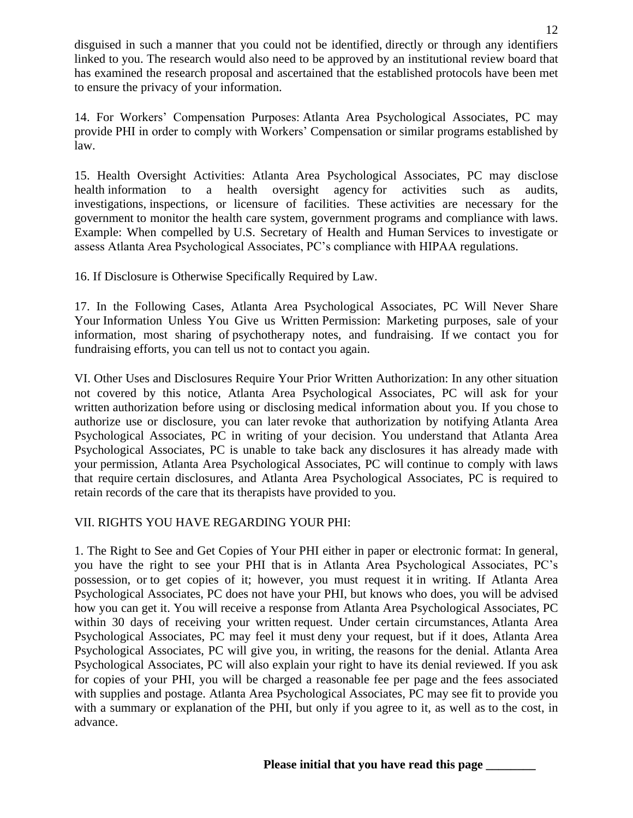disguised in such a manner that you could not be identified, directly or through any identifiers linked to you. The research would also need to be approved by an institutional review board that has examined the research proposal and ascertained that the established protocols have been met to ensure the privacy of your information.

14. For Workers' Compensation Purposes: Atlanta Area Psychological Associates, PC may provide PHI in order to comply with Workers' Compensation or similar programs established by law.

15. Health Oversight Activities: Atlanta Area Psychological Associates, PC may disclose health information to a health oversight agency for activities such as audits, investigations, inspections, or licensure of facilities. These activities are necessary for the government to monitor the health care system, government programs and compliance with laws. Example: When compelled by U.S. Secretary of Health and Human Services to investigate or assess Atlanta Area Psychological Associates, PC's compliance with HIPAA regulations.

16. If Disclosure is Otherwise Specifically Required by Law.

17. In the Following Cases, Atlanta Area Psychological Associates, PC Will Never Share Your Information Unless You Give us Written Permission: Marketing purposes, sale of your information, most sharing of psychotherapy notes, and fundraising. If we contact you for fundraising efforts, you can tell us not to contact you again.

VI. Other Uses and Disclosures Require Your Prior Written Authorization: In any other situation not covered by this notice, Atlanta Area Psychological Associates, PC will ask for your written authorization before using or disclosing medical information about you. If you chose to authorize use or disclosure, you can later revoke that authorization by notifying Atlanta Area Psychological Associates, PC in writing of your decision. You understand that Atlanta Area Psychological Associates, PC is unable to take back any disclosures it has already made with your permission, Atlanta Area Psychological Associates, PC will continue to comply with laws that require certain disclosures, and Atlanta Area Psychological Associates, PC is required to retain records of the care that its therapists have provided to you.

# VII. RIGHTS YOU HAVE REGARDING YOUR PHI:

1. The Right to See and Get Copies of Your PHI either in paper or electronic format: In general, you have the right to see your PHI that is in Atlanta Area Psychological Associates, PC's possession, or to get copies of it; however, you must request it in writing. If Atlanta Area Psychological Associates, PC does not have your PHI, but knows who does, you will be advised how you can get it. You will receive a response from Atlanta Area Psychological Associates, PC within 30 days of receiving your written request. Under certain circumstances, Atlanta Area Psychological Associates, PC may feel it must deny your request, but if it does, Atlanta Area Psychological Associates, PC will give you, in writing, the reasons for the denial. Atlanta Area Psychological Associates, PC will also explain your right to have its denial reviewed. If you ask for copies of your PHI, you will be charged a reasonable fee per page and the fees associated with supplies and postage. Atlanta Area Psychological Associates, PC may see fit to provide you with a summary or explanation of the PHI, but only if you agree to it, as well as to the cost, in advance.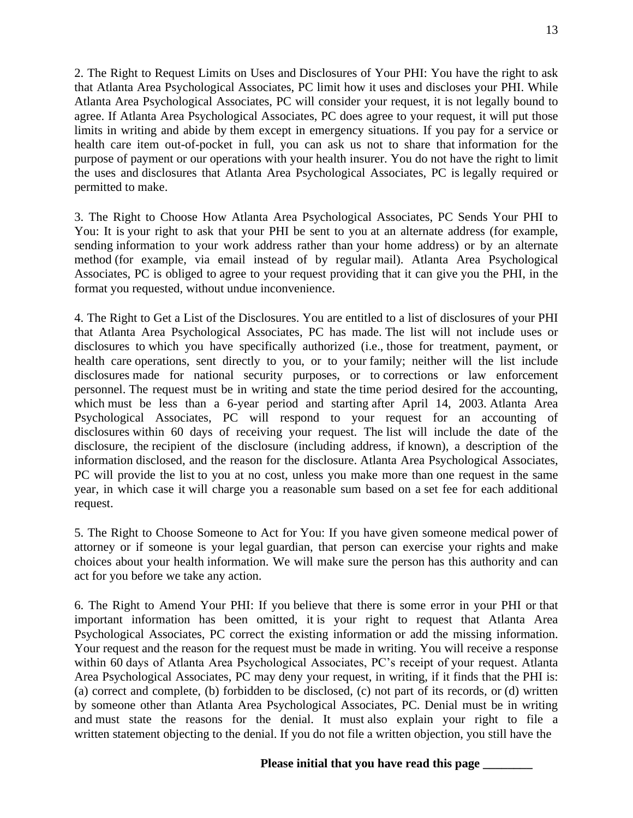2. The Right to Request Limits on Uses and Disclosures of Your PHI: You have the right to ask that Atlanta Area Psychological Associates, PC limit how it uses and discloses your PHI. While Atlanta Area Psychological Associates, PC will consider your request, it is not legally bound to agree. If Atlanta Area Psychological Associates, PC does agree to your request, it will put those limits in writing and abide by them except in emergency situations. If you pay for a service or health care item out-of-pocket in full, you can ask us not to share that information for the purpose of payment or our operations with your health insurer. You do not have the right to limit the uses and disclosures that Atlanta Area Psychological Associates, PC is legally required or permitted to make.

3. The Right to Choose How Atlanta Area Psychological Associates, PC Sends Your PHI to You: It is your right to ask that your PHI be sent to you at an alternate address (for example, sending information to your work address rather than your home address) or by an alternate method (for example, via email instead of by regular mail). Atlanta Area Psychological Associates, PC is obliged to agree to your request providing that it can give you the PHI, in the format you requested, without undue inconvenience.

4. The Right to Get a List of the Disclosures. You are entitled to a list of disclosures of your PHI that Atlanta Area Psychological Associates, PC has made. The list will not include uses or disclosures to which you have specifically authorized (i.e., those for treatment, payment, or health care operations, sent directly to you, or to your family; neither will the list include disclosures made for national security purposes, or to corrections or law enforcement personnel. The request must be in writing and state the time period desired for the accounting, which must be less than a 6-year period and starting after April 14, 2003. Atlanta Area Psychological Associates, PC will respond to your request for an accounting of disclosures within 60 days of receiving your request. The list will include the date of the disclosure, the recipient of the disclosure (including address, if known), a description of the information disclosed, and the reason for the disclosure. Atlanta Area Psychological Associates, PC will provide the list to you at no cost, unless you make more than one request in the same year, in which case it will charge you a reasonable sum based on a set fee for each additional request.

5. The Right to Choose Someone to Act for You: If you have given someone medical power of attorney or if someone is your legal guardian, that person can exercise your rights and make choices about your health information. We will make sure the person has this authority and can act for you before we take any action.

6. The Right to Amend Your PHI: If you believe that there is some error in your PHI or that important information has been omitted, it is your right to request that Atlanta Area Psychological Associates, PC correct the existing information or add the missing information. Your request and the reason for the request must be made in writing. You will receive a response within 60 days of Atlanta Area Psychological Associates, PC's receipt of your request. Atlanta Area Psychological Associates, PC may deny your request, in writing, if it finds that the PHI is: (a) correct and complete, (b) forbidden to be disclosed, (c) not part of its records, or (d) written by someone other than Atlanta Area Psychological Associates, PC. Denial must be in writing and must state the reasons for the denial. It must also explain your right to file a written statement objecting to the denial. If you do not file a written objection, you still have the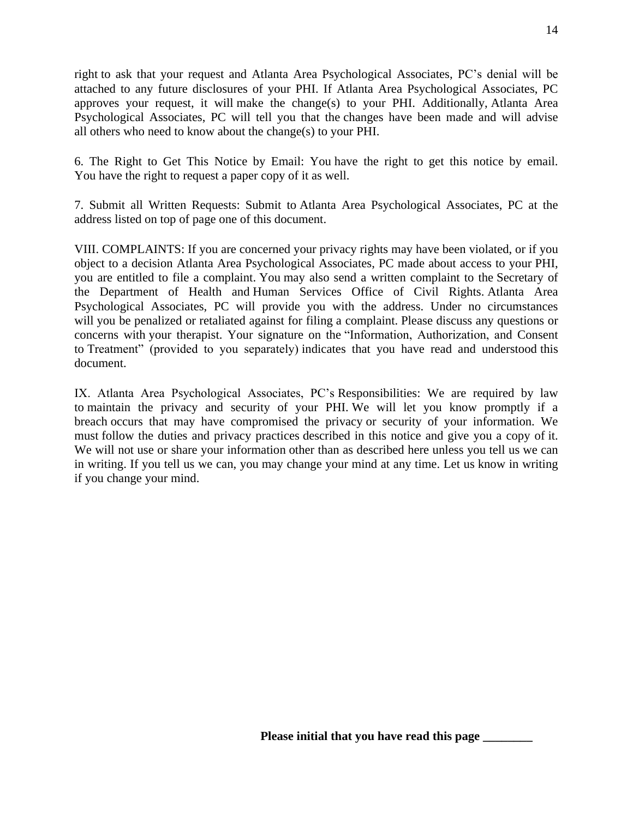right to ask that your request and Atlanta Area Psychological Associates, PC's denial will be attached to any future disclosures of your PHI. If Atlanta Area Psychological Associates, PC approves your request, it will make the change(s) to your PHI. Additionally, Atlanta Area Psychological Associates, PC will tell you that the changes have been made and will advise all others who need to know about the change(s) to your PHI.

6. The Right to Get This Notice by Email: You have the right to get this notice by email. You have the right to request a paper copy of it as well.

7. Submit all Written Requests: Submit to Atlanta Area Psychological Associates, PC at the address listed on top of page one of this document.

VIII. COMPLAINTS: If you are concerned your privacy rights may have been violated, or if you object to a decision Atlanta Area Psychological Associates, PC made about access to your PHI, you are entitled to file a complaint. You may also send a written complaint to the Secretary of the Department of Health and Human Services Office of Civil Rights. Atlanta Area Psychological Associates, PC will provide you with the address. Under no circumstances will you be penalized or retaliated against for filing a complaint. Please discuss any questions or concerns with your therapist. Your signature on the "Information, Authorization, and Consent to Treatment" (provided to you separately) indicates that you have read and understood this document.

IX. Atlanta Area Psychological Associates, PC's Responsibilities: We are required by law to maintain the privacy and security of your PHI. We will let you know promptly if a breach occurs that may have compromised the privacy or security of your information. We must follow the duties and privacy practices described in this notice and give you a copy of it. We will not use or share your information other than as described here unless you tell us we can in writing. If you tell us we can, you may change your mind at any time. Let us know in writing if you change your mind.